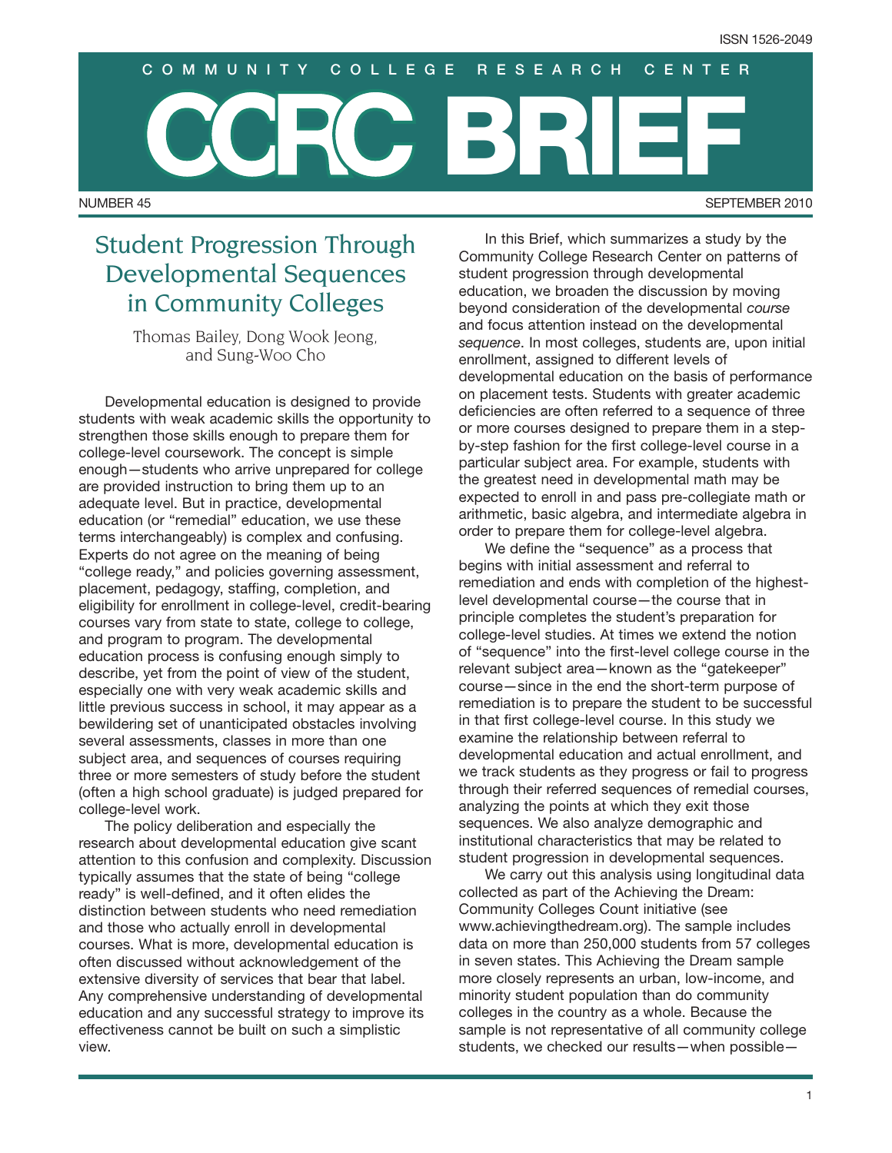NUMBER 45 SEPTEMBER 2010 **BRIEF COMMUNITY COLLEGE RESEARCH CENTER**

# Student Progression Through Developmental Sequences in Community Colleges

Thomas Bailey, Dong Wook Jeong, and Sung-Woo Cho

Developmental education is designed to provide students with weak academic skills the opportunity to strengthen those skills enough to prepare them for college-level coursework. The concept is simple enough—students who arrive unprepared for college are provided instruction to bring them up to an adequate level. But in practice, developmental education (or "remedial" education, we use these terms interchangeably) is complex and confusing. Experts do not agree on the meaning of being "college ready," and policies governing assessment, placement, pedagogy, staffing, completion, and eligibility for enrollment in college-level, credit-bearing courses vary from state to state, college to college, and program to program. The developmental education process is confusing enough simply to describe, yet from the point of view of the student, especially one with very weak academic skills and little previous success in school, it may appear as a bewildering set of unanticipated obstacles involving several assessments, classes in more than one subject area, and sequences of courses requiring three or more semesters of study before the student (often a high school graduate) is judged prepared for college-level work.

The policy deliberation and especially the research about developmental education give scant attention to this confusion and complexity. Discussion typically assumes that the state of being "college ready" is well-defined, and it often elides the distinction between students who need remediation and those who actually enroll in developmental courses. What is more, developmental education is often discussed without acknowledgement of the extensive diversity of services that bear that label. Any comprehensive understanding of developmental education and any successful strategy to improve its effectiveness cannot be built on such a simplistic view.

In this Brief, which summarizes a study by the Community College Research Center on patterns of student progression through developmental education, we broaden the discussion by moving beyond consideration of the developmental *course* and focus attention instead on the developmental *sequence*. In most colleges, students are, upon initial enrollment, assigned to different levels of developmental education on the basis of performance on placement tests. Students with greater academic deficiencies are often referred to a sequence of three or more courses designed to prepare them in a stepby-step fashion for the first college-level course in a particular subject area. For example, students with the greatest need in developmental math may be expected to enroll in and pass pre-collegiate math or arithmetic, basic algebra, and intermediate algebra in order to prepare them for college-level algebra.

We define the "sequence" as a process that begins with initial assessment and referral to remediation and ends with completion of the highestlevel developmental course—the course that in principle completes the student's preparation for college-level studies. At times we extend the notion of "sequence" into the first-level college course in the relevant subject area—known as the "gatekeeper" course—since in the end the short-term purpose of remediation is to prepare the student to be successful in that first college-level course. In this study we examine the relationship between referral to developmental education and actual enrollment, and we track students as they progress or fail to progress through their referred sequences of remedial courses, analyzing the points at which they exit those sequences. We also analyze demographic and institutional characteristics that may be related to student progression in developmental sequences.

We carry out this analysis using longitudinal data collected as part of the Achieving the Dream: Community Colleges Count initiative (see www.achievingthedream.org). The sample includes data on more than 250,000 students from 57 colleges in seven states. This Achieving the Dream sample more closely represents an urban, low-income, and minority student population than do community colleges in the country as a whole. Because the sample is not representative of all community college students, we checked our results—when possible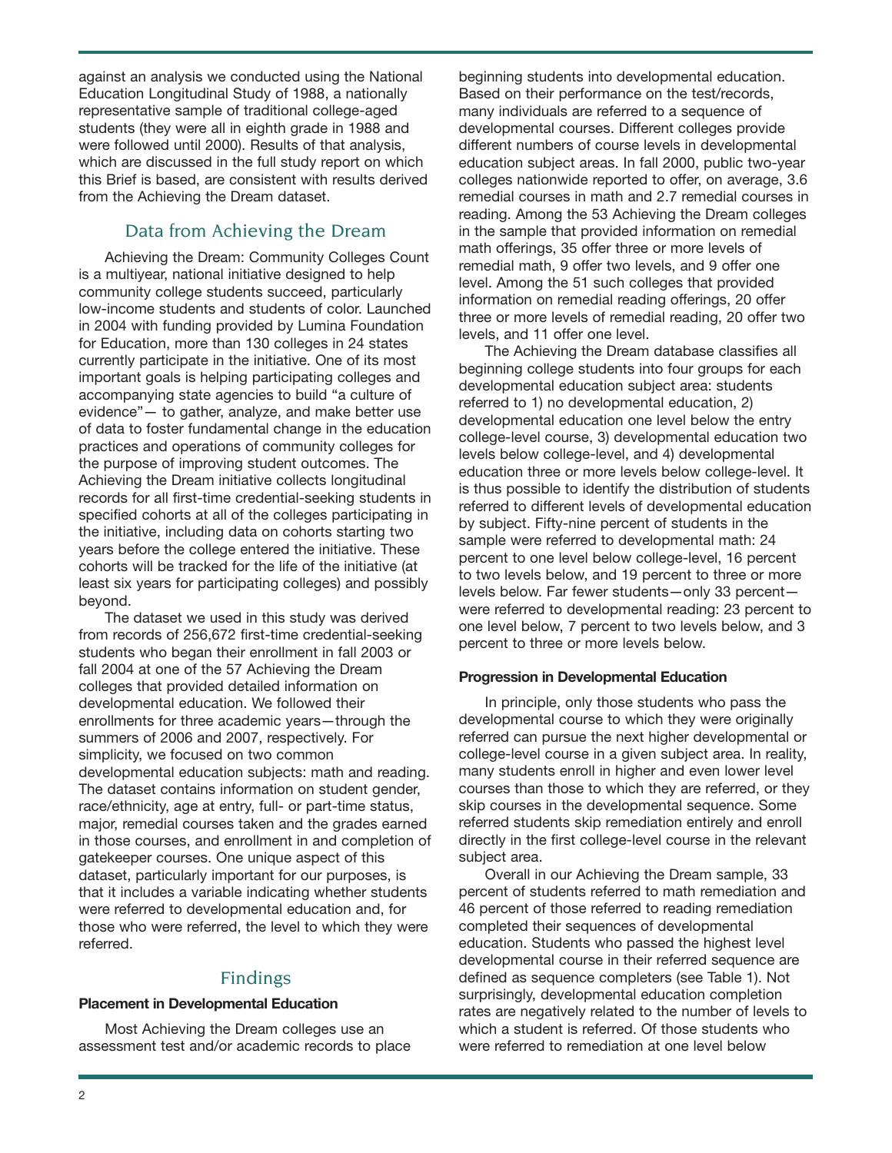against an analysis we conducted using the National Education Longitudinal Study of 1988, a nationally representative sample of traditional college-aged students (they were all in eighth grade in 1988 and were followed until 2000). Results of that analysis, which are discussed in the full study report on which this Brief is based, are consistent with results derived from the Achieving the Dream dataset.

# Data from Achieving the Dream

Achieving the Dream: Community Colleges Count is a multiyear, national initiative designed to help community college students succeed, particularly low-income students and students of color. Launched in 2004 with funding provided by Lumina Foundation for Education, more than 130 colleges in 24 states currently participate in the initiative. One of its most important goals is helping participating colleges and accompanying state agencies to build "a culture of evidence"— to gather, analyze, and make better use of data to foster fundamental change in the education practices and operations of community colleges for the purpose of improving student outcomes. The Achieving the Dream initiative collects longitudinal records for all first-time credential-seeking students in specified cohorts at all of the colleges participating in the initiative, including data on cohorts starting two years before the college entered the initiative. These cohorts will be tracked for the life of the initiative (at least six years for participating colleges) and possibly beyond.

The dataset we used in this study was derived from records of 256,672 first-time credential-seeking students who began their enrollment in fall 2003 or fall 2004 at one of the 57 Achieving the Dream colleges that provided detailed information on developmental education. We followed their enrollments for three academic years—through the summers of 2006 and 2007, respectively. For simplicity, we focused on two common developmental education subjects: math and reading. The dataset contains information on student gender, race/ethnicity, age at entry, full- or part-time status, major, remedial courses taken and the grades earned in those courses, and enrollment in and completion of gatekeeper courses. One unique aspect of this dataset, particularly important for our purposes, is that it includes a variable indicating whether students were referred to developmental education and, for those who were referred, the level to which they were referred.

## Findings

## **Placement in Developmental Education**

Most Achieving the Dream colleges use an assessment test and/or academic records to place

beginning students into developmental education. Based on their performance on the test/records, many individuals are referred to a sequence of developmental courses. Different colleges provide different numbers of course levels in developmental education subject areas. In fall 2000, public two-year colleges nationwide reported to offer, on average, 3.6 remedial courses in math and 2.7 remedial courses in reading. Among the 53 Achieving the Dream colleges in the sample that provided information on remedial math offerings, 35 offer three or more levels of remedial math, 9 offer two levels, and 9 offer one level. Among the 51 such colleges that provided information on remedial reading offerings, 20 offer three or more levels of remedial reading, 20 offer two levels, and 11 offer one level.

The Achieving the Dream database classifies all beginning college students into four groups for each developmental education subject area: students referred to 1) no developmental education, 2) developmental education one level below the entry college-level course, 3) developmental education two levels below college-level, and 4) developmental education three or more levels below college-level. It is thus possible to identify the distribution of students referred to different levels of developmental education by subject. Fifty-nine percent of students in the sample were referred to developmental math: 24 percent to one level below college-level, 16 percent to two levels below, and 19 percent to three or more levels below. Far fewer students—only 33 percent were referred to developmental reading: 23 percent to one level below, 7 percent to two levels below, and 3 percent to three or more levels below.

#### **Progression in Developmental Education**

In principle, only those students who pass the developmental course to which they were originally referred can pursue the next higher developmental or college-level course in a given subject area. In reality, many students enroll in higher and even lower level courses than those to which they are referred, or they skip courses in the developmental sequence. Some referred students skip remediation entirely and enroll directly in the first college-level course in the relevant subject area.

Overall in our Achieving the Dream sample, 33 percent of students referred to math remediation and 46 percent of those referred to reading remediation completed their sequences of developmental education. Students who passed the highest level developmental course in their referred sequence are defined as sequence completers (see Table 1). Not surprisingly, developmental education completion rates are negatively related to the number of levels to which a student is referred. Of those students who were referred to remediation at one level below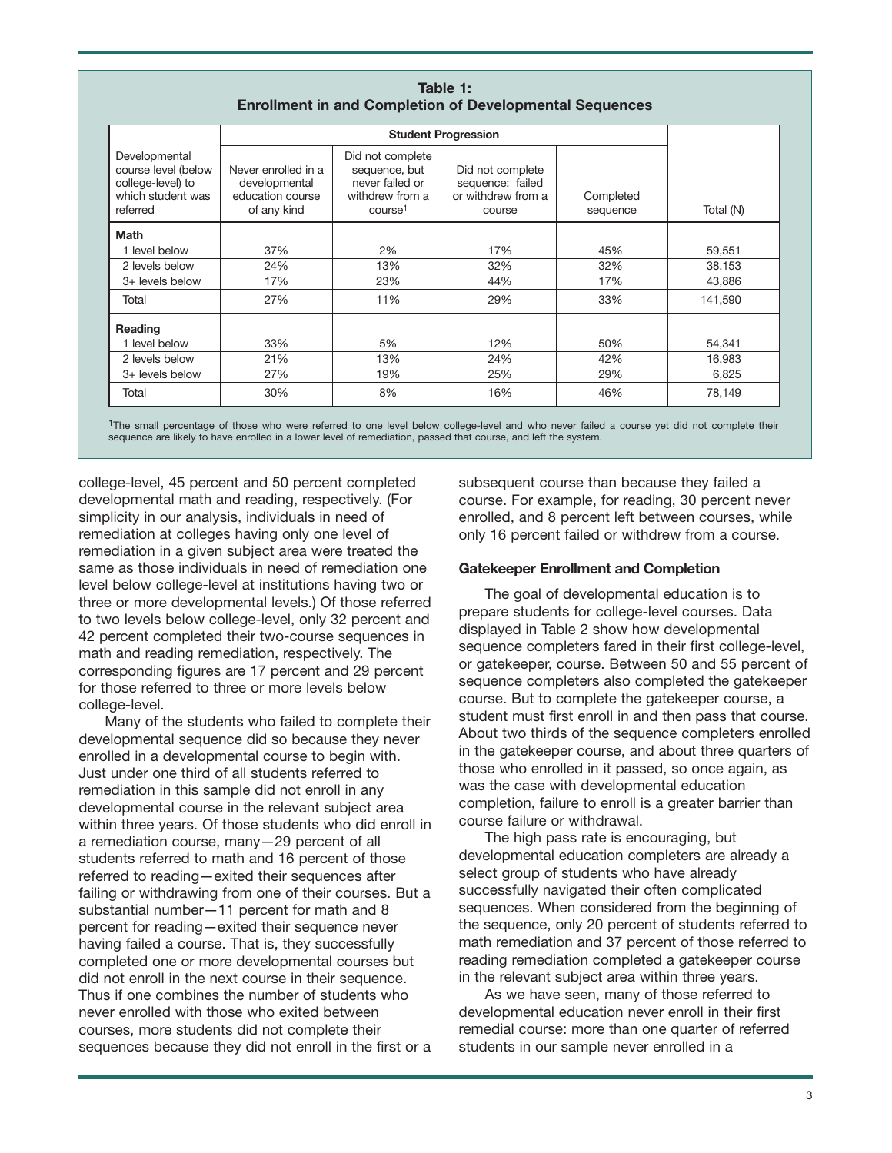| Table 1:                                                       |  |
|----------------------------------------------------------------|--|
| <b>Enrollment in and Completion of Developmental Sequences</b> |  |

|                                                                                            | <b>Student Progression</b>                                              |                                                                                                |                                                                      |                       |           |
|--------------------------------------------------------------------------------------------|-------------------------------------------------------------------------|------------------------------------------------------------------------------------------------|----------------------------------------------------------------------|-----------------------|-----------|
| Developmental<br>course level (below<br>college-level) to<br>which student was<br>referred | Never enrolled in a<br>developmental<br>education course<br>of any kind | Did not complete<br>sequence, but<br>never failed or<br>withdrew from a<br>course <sup>1</sup> | Did not complete<br>sequence: failed<br>or withdrew from a<br>course | Completed<br>sequence | Total (N) |
| <b>Math</b>                                                                                |                                                                         |                                                                                                |                                                                      |                       |           |
| 1 level below                                                                              | 37%                                                                     | 2%                                                                                             | 17%                                                                  | 45%                   | 59,551    |
| 2 levels below                                                                             | 24%                                                                     | 13%                                                                                            | 32%                                                                  | 32%                   | 38.153    |
| 3+ levels below                                                                            | 17%                                                                     | 23%                                                                                            | 44%                                                                  | 17%                   | 43,886    |
| Total                                                                                      | 27%                                                                     | 11%                                                                                            | 29%                                                                  | 33%                   | 141,590   |
| Reading                                                                                    |                                                                         |                                                                                                |                                                                      |                       |           |
| 1 level below                                                                              | 33%                                                                     | 5%                                                                                             | 12%                                                                  | 50%                   | 54,341    |
| 2 levels below                                                                             | 21%                                                                     | 13%                                                                                            | 24%                                                                  | 42%                   | 16,983    |
| 3+ levels below                                                                            | 27%                                                                     | 19%                                                                                            | 25%                                                                  | 29%                   | 6,825     |
| Total                                                                                      | 30%                                                                     | 8%                                                                                             | 16%                                                                  | 46%                   | 78,149    |

1The small percentage of those who were referred to one level below college-level and who never failed a course yet did not complete their sequence are likely to have enrolled in a lower level of remediation, passed that course, and left the system.

college-level, 45 percent and 50 percent completed developmental math and reading, respectively. (For simplicity in our analysis, individuals in need of remediation at colleges having only one level of remediation in a given subject area were treated the same as those individuals in need of remediation one level below college-level at institutions having two or three or more developmental levels.) Of those referred to two levels below college-level, only 32 percent and 42 percent completed their two-course sequences in math and reading remediation, respectively. The corresponding figures are 17 percent and 29 percent for those referred to three or more levels below college-level.

Many of the students who failed to complete their developmental sequence did so because they never enrolled in a developmental course to begin with. Just under one third of all students referred to remediation in this sample did not enroll in any developmental course in the relevant subject area within three years. Of those students who did enroll in a remediation course, many—29 percent of all students referred to math and 16 percent of those referred to reading—exited their sequences after failing or withdrawing from one of their courses. But a substantial number—11 percent for math and 8 percent for reading—exited their sequence never having failed a course. That is, they successfully completed one or more developmental courses but did not enroll in the next course in their sequence. Thus if one combines the number of students who never enrolled with those who exited between courses, more students did not complete their sequences because they did not enroll in the first or a

subsequent course than because they failed a course. For example, for reading, 30 percent never enrolled, and 8 percent left between courses, while only 16 percent failed or withdrew from a course.

### **Gatekeeper Enrollment and Completion**

The goal of developmental education is to prepare students for college-level courses. Data displayed in Table 2 show how developmental sequence completers fared in their first college-level, or gatekeeper, course. Between 50 and 55 percent of sequence completers also completed the gatekeeper course. But to complete the gatekeeper course, a student must first enroll in and then pass that course. About two thirds of the sequence completers enrolled in the gatekeeper course, and about three quarters of those who enrolled in it passed, so once again, as was the case with developmental education completion, failure to enroll is a greater barrier than course failure or withdrawal.

The high pass rate is encouraging, but developmental education completers are already a select group of students who have already successfully navigated their often complicated sequences. When considered from the beginning of the sequence, only 20 percent of students referred to math remediation and 37 percent of those referred to reading remediation completed a gatekeeper course in the relevant subject area within three years.

As we have seen, many of those referred to developmental education never enroll in their first remedial course: more than one quarter of referred students in our sample never enrolled in a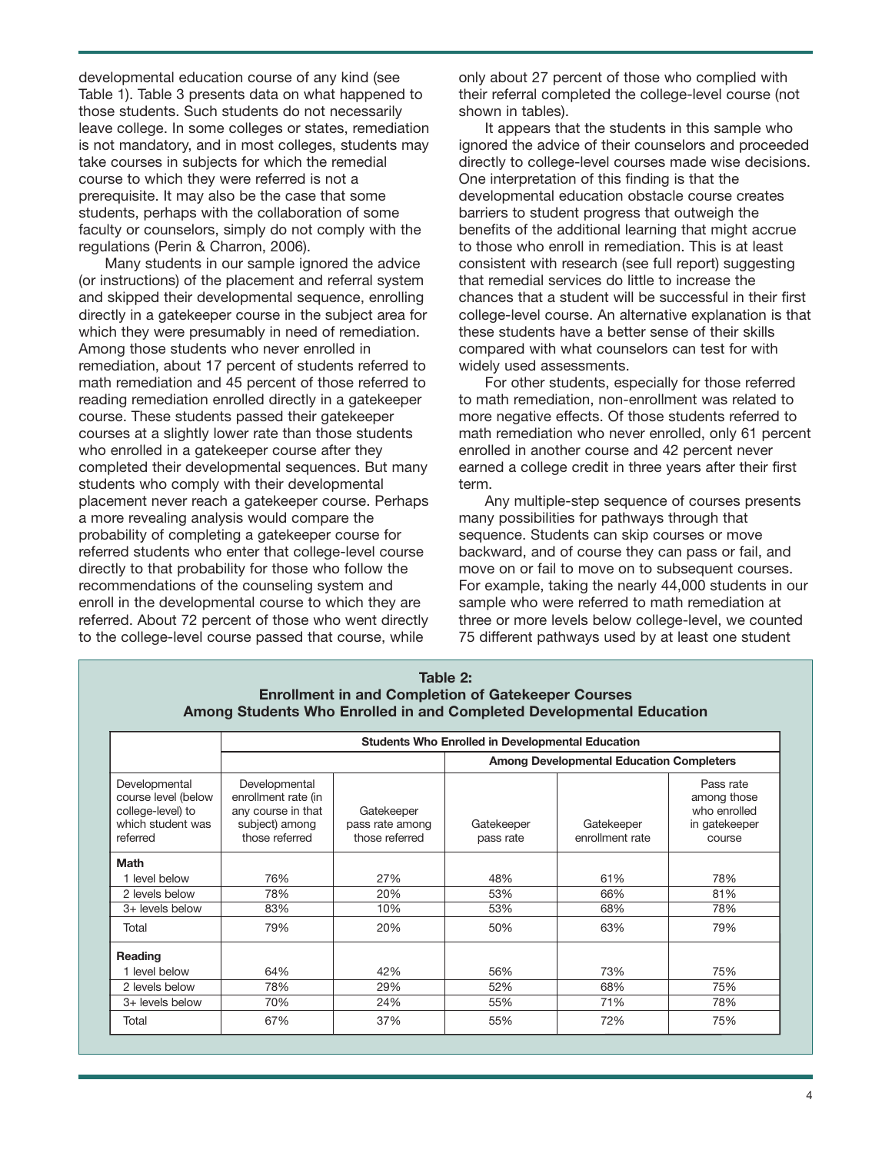developmental education course of any kind (see Table 1). Table 3 presents data on what happened to those students. Such students do not necessarily leave college. In some colleges or states, remediation is not mandatory, and in most colleges, students may take courses in subjects for which the remedial course to which they were referred is not a prerequisite. It may also be the case that some students, perhaps with the collaboration of some faculty or counselors, simply do not comply with the regulations (Perin & Charron, 2006).

Many students in our sample ignored the advice (or instructions) of the placement and referral system and skipped their developmental sequence, enrolling directly in a gatekeeper course in the subject area for which they were presumably in need of remediation. Among those students who never enrolled in remediation, about 17 percent of students referred to math remediation and 45 percent of those referred to reading remediation enrolled directly in a gatekeeper course. These students passed their gatekeeper courses at a slightly lower rate than those students who enrolled in a gatekeeper course after they completed their developmental sequences. But many students who comply with their developmental placement never reach a gatekeeper course. Perhaps a more revealing analysis would compare the probability of completing a gatekeeper course for referred students who enter that college-level course directly to that probability for those who follow the recommendations of the counseling system and enroll in the developmental course to which they are referred. About 72 percent of those who went directly to the college-level course passed that course, while

only about 27 percent of those who complied with their referral completed the college-level course (not shown in tables).

It appears that the students in this sample who ignored the advice of their counselors and proceeded directly to college-level courses made wise decisions. One interpretation of this finding is that the developmental education obstacle course creates barriers to student progress that outweigh the benefits of the additional learning that might accrue to those who enroll in remediation. This is at least consistent with research (see full report) suggesting that remedial services do little to increase the chances that a student will be successful in their first college-level course. An alternative explanation is that these students have a better sense of their skills compared with what counselors can test for with widely used assessments.

For other students, especially for those referred to math remediation, non-enrollment was related to more negative effects. Of those students referred to math remediation who never enrolled, only 61 percent enrolled in another course and 42 percent never earned a college credit in three years after their first term.

Any multiple-step sequence of courses presents many possibilities for pathways through that sequence. Students can skip courses or move backward, and of course they can pass or fail, and move on or fail to move on to subsequent courses. For example, taking the nearly 44,000 students in our sample who were referred to math remediation at three or more levels below college-level, we counted 75 different pathways used by at least one student

| Table 2:                                                             |
|----------------------------------------------------------------------|
| <b>Enrollment in and Completion of Gatekeeper Courses</b>            |
| Among Students Who Enrolled in and Completed Developmental Education |

|                                                                                            | <b>Students Who Enrolled in Developmental Education</b>                                        |                                                 |                                                 |                               |                                                                     |  |
|--------------------------------------------------------------------------------------------|------------------------------------------------------------------------------------------------|-------------------------------------------------|-------------------------------------------------|-------------------------------|---------------------------------------------------------------------|--|
|                                                                                            |                                                                                                |                                                 | <b>Among Developmental Education Completers</b> |                               |                                                                     |  |
| Developmental<br>course level (below<br>college-level) to<br>which student was<br>referred | Developmental<br>enrollment rate (in<br>any course in that<br>subject) among<br>those referred | Gatekeeper<br>pass rate among<br>those referred | Gatekeeper<br>pass rate                         | Gatekeeper<br>enrollment rate | Pass rate<br>among those<br>who enrolled<br>in gatekeeper<br>course |  |
| <b>Math</b>                                                                                |                                                                                                |                                                 |                                                 |                               |                                                                     |  |
| 1 level below                                                                              | 76%                                                                                            | 27%                                             | 48%                                             | 61%                           | 78%                                                                 |  |
| 2 levels below                                                                             | 78%                                                                                            | 20%                                             | 53%                                             | 66%                           | 81%                                                                 |  |
| 3+ levels below                                                                            | 83%                                                                                            | 10%                                             | 53%                                             | 68%                           | 78%                                                                 |  |
| Total                                                                                      | 79%                                                                                            | 20%                                             | 50%                                             | 63%                           | 79%                                                                 |  |
| Reading                                                                                    |                                                                                                |                                                 |                                                 |                               |                                                                     |  |
| 1 level below                                                                              | 64%                                                                                            | 42%                                             | 56%                                             | 73%                           | 75%                                                                 |  |
| 2 levels below                                                                             | 78%                                                                                            | 29%                                             | 52%                                             | 68%                           | 75%                                                                 |  |
| 3+ levels below                                                                            | 70%                                                                                            | 24%                                             | 55%                                             | 71%                           | 78%                                                                 |  |
| Total                                                                                      | 67%                                                                                            | 37%                                             | 55%                                             | 72%                           | 75%                                                                 |  |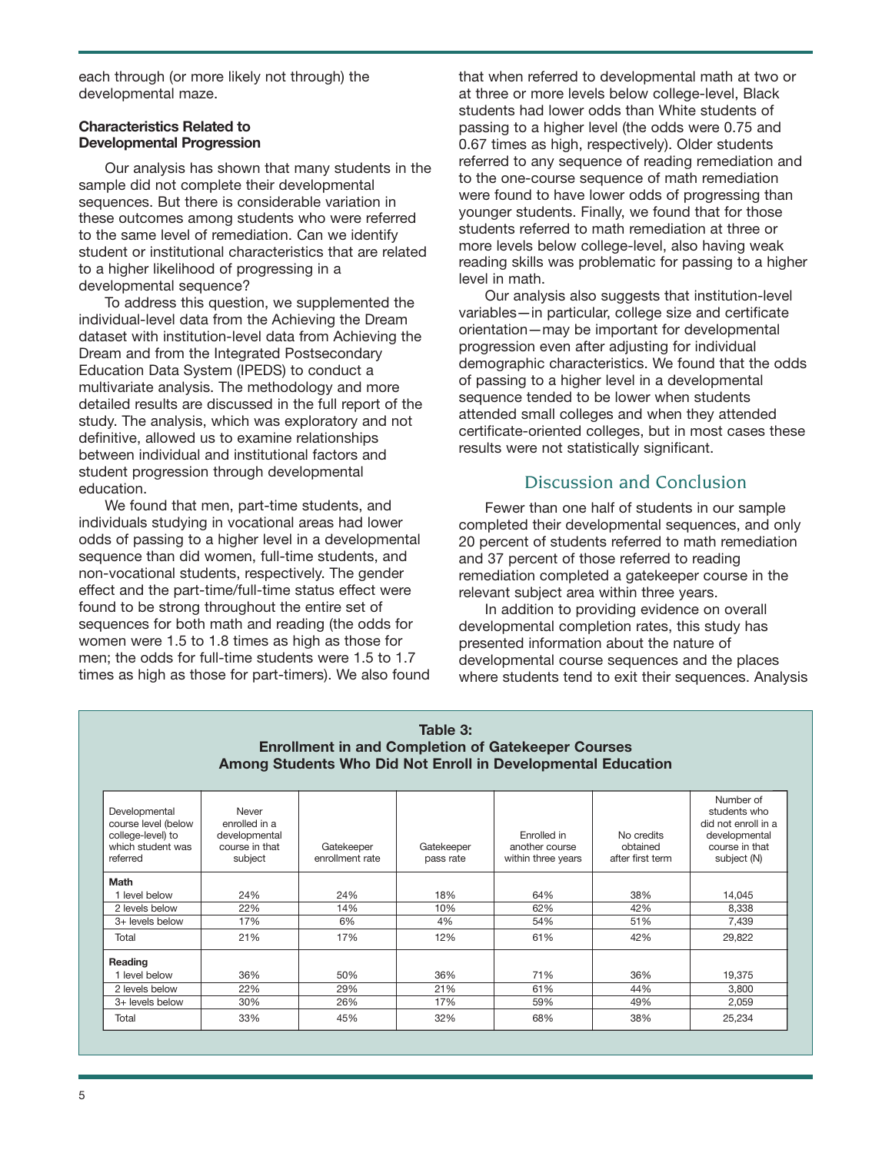each through (or more likely not through) the developmental maze.

#### **Characteristics Related to Developmental Progression**

Our analysis has shown that many students in the sample did not complete their developmental sequences. But there is considerable variation in these outcomes among students who were referred to the same level of remediation. Can we identify student or institutional characteristics that are related to a higher likelihood of progressing in a developmental sequence?

To address this question, we supplemented the individual-level data from the Achieving the Dream dataset with institution-level data from Achieving the Dream and from the Integrated Postsecondary Education Data System (IPEDS) to conduct a multivariate analysis. The methodology and more detailed results are discussed in the full report of the study. The analysis, which was exploratory and not definitive, allowed us to examine relationships between individual and institutional factors and student progression through developmental education.

We found that men, part-time students, and individuals studying in vocational areas had lower odds of passing to a higher level in a developmental sequence than did women, full-time students, and non-vocational students, respectively. The gender effect and the part-time/full-time status effect were found to be strong throughout the entire set of sequences for both math and reading (the odds for women were 1.5 to 1.8 times as high as those for men; the odds for full-time students were 1.5 to 1.7 times as high as those for part-timers). We also found that when referred to developmental math at two or at three or more levels below college-level, Black students had lower odds than White students of passing to a higher level (the odds were 0.75 and 0.67 times as high, respectively). Older students referred to any sequence of reading remediation and to the one-course sequence of math remediation were found to have lower odds of progressing than younger students. Finally, we found that for those students referred to math remediation at three or more levels below college-level, also having weak reading skills was problematic for passing to a higher level in math.

Our analysis also suggests that institution-level variables—in particular, college size and certificate orientation—may be important for developmental progression even after adjusting for individual demographic characteristics. We found that the odds of passing to a higher level in a developmental sequence tended to be lower when students attended small colleges and when they attended certificate-oriented colleges, but in most cases these results were not statistically significant.

## Discussion and Conclusion

Fewer than one half of students in our sample completed their developmental sequences, and only 20 percent of students referred to math remediation and 37 percent of those referred to reading remediation completed a gatekeeper course in the relevant subject area within three years.

In addition to providing evidence on overall developmental completion rates, this study has presented information about the nature of developmental course sequences and the places where students tend to exit their sequences. Analysis

| Table 3:<br><b>Enrollment in and Completion of Gatekeeper Courses</b><br>Among Students Who Did Not Enroll in Developmental Education |                                                                      |                               |                         |                                                     |                                            |                                                                                                    |
|---------------------------------------------------------------------------------------------------------------------------------------|----------------------------------------------------------------------|-------------------------------|-------------------------|-----------------------------------------------------|--------------------------------------------|----------------------------------------------------------------------------------------------------|
| Developmental<br>course level (below<br>college-level) to<br>which student was<br>referred                                            | Never<br>enrolled in a<br>developmental<br>course in that<br>subject | Gatekeeper<br>enrollment rate | Gatekeeper<br>pass rate | Fnrolled in<br>another course<br>within three years | No credits<br>obtained<br>after first term | Number of<br>students who<br>did not enroll in a<br>developmental<br>course in that<br>subject (N) |
| Math                                                                                                                                  |                                                                      |                               |                         |                                                     |                                            |                                                                                                    |
| 1 level below                                                                                                                         | 24%                                                                  | 24%                           | 18%                     | 64%                                                 | 38%                                        | 14,045                                                                                             |
| 2 levels below                                                                                                                        | 22%                                                                  | 14%                           | 10%                     | 62%                                                 | 42%                                        | 8,338                                                                                              |
| 3+ levels below                                                                                                                       | 17%                                                                  | 6%                            | 4%                      | 54%                                                 | 51%                                        | 7,439                                                                                              |
| Total                                                                                                                                 | 21%                                                                  | 17%                           | 12%                     | 61%                                                 | 42%                                        | 29,822                                                                                             |
| Reading                                                                                                                               |                                                                      |                               |                         |                                                     |                                            |                                                                                                    |
| level below                                                                                                                           | 36%                                                                  | 50%                           | 36%                     | 71%                                                 | 36%                                        | 19,375                                                                                             |
| 2 levels below                                                                                                                        | 22%                                                                  | 29%                           | 21%                     | 61%                                                 | 44%                                        | 3,800                                                                                              |
| 3+ levels below                                                                                                                       | 30%                                                                  | 26%                           | 17%                     | 59%                                                 | 49%                                        | 2,059                                                                                              |
| Total                                                                                                                                 | 33%                                                                  | 45%                           | 32%                     | 68%                                                 | 38%                                        | 25,234                                                                                             |